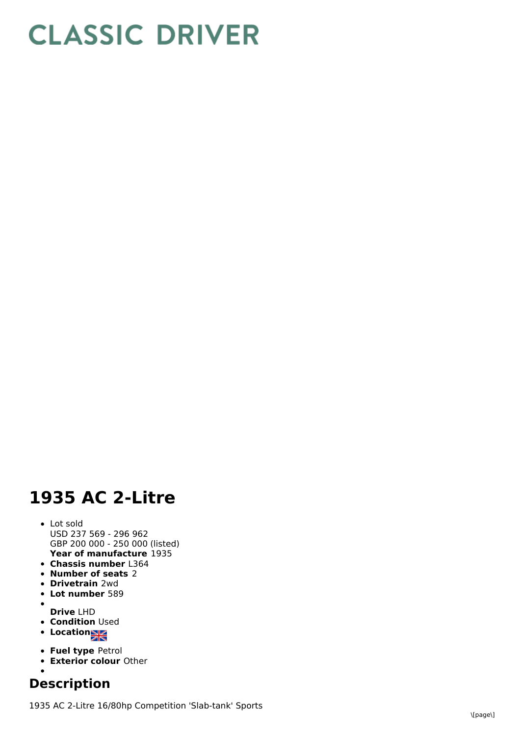## **CLASSIC DRIVER**

## **1935 AC 2-Litre**

## **Year of manufacture** 1935 L o t s old U S D 2 3 7 5 6 9 - 2 9 6 9 6 2 GBP 200 000 - 250 000 (listed)

- **Chassis number** L364
- **n h h c n c** *n***<b>c** *n***<b>c** *n***<b>c** *n***<b>c** *n* **c** *n* **c** *n* **c** *n* **c** *n* **c** *n***<b>c n c n c n c n c n c n c n c n c n c n c**
- **Drivetrain** 2wd
- **Lot number** 589
- **D r i v e** L H D
- **Condition** Used
- **L o c a t i o n**
- 
- **Fuel type Petrol**
- **Exterior colour Other**

## **Description**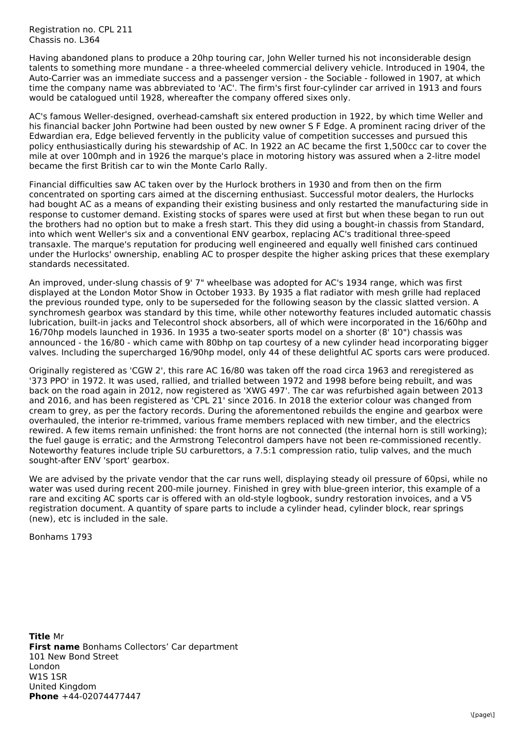Registration no. CPL 211 Chassis no. L364

Having abandoned plans to produce a 20hp touring car, John Weller turned his not inconsiderable design talents to something more mundane - a three-wheeled commercial delivery vehicle. Introduced in 1904, the Auto-Carrier was an immediate success and a passenger version - the Sociable - followed in 1907, at which time the company name was abbreviated to 'AC'. The firm's first four-cylinder car arrived in 1913 and fours would be catalogued until 1928, whereafter the company offered sixes only.

AC's famous Weller-designed, overhead-camshaft six entered production in 1922, by which time Weller and his financial backer John Portwine had been ousted by new owner S F Edge. A prominent racing driver of the Edwardian era, Edge believed fervently in the publicity value of competition successes and pursued this policy enthusiastically during his stewardship of AC. In 1922 an AC became the first 1,500cc car to cover the mile at over 100mph and in 1926 the marque's place in motoring history was assured when a 2-litre model became the first British car to win the Monte Carlo Rally.

Financial difficulties saw AC taken over by the Hurlock brothers in 1930 and from then on the firm concentrated on sporting cars aimed at the discerning enthusiast. Successful motor dealers, the Hurlocks had bought AC as a means of expanding their existing business and only restarted the manufacturing side in response to customer demand. Existing stocks of spares were used at first but when these began to run out the brothers had no option but to make a fresh start. This they did using a bought-in chassis from Standard, into which went Weller's six and a conventional ENV gearbox, replacing AC's traditional three-speed transaxle. The marque's reputation for producing well engineered and equally well finished cars continued under the Hurlocks' ownership, enabling AC to prosper despite the higher asking prices that these exemplary standards necessitated.

An improved, under-slung chassis of 9' 7" wheelbase was adopted for AC's 1934 range, which was first displayed at the London Motor Show in October 1933. By 1935 a flat radiator with mesh grille had replaced the previous rounded type, only to be superseded for the following season by the classic slatted version. A synchromesh gearbox was standard by this time, while other noteworthy features included automatic chassis lubrication, built-in jacks and Telecontrol shock absorbers, all of which were incorporated in the 16/60hp and 16/70hp models launched in 1936. In 1935 a two-seater sports model on a shorter (8' 10") chassis was announced - the 16/80 - which came with 80bhp on tap courtesy of a new cylinder head incorporating bigger valves. Including the supercharged 16/90hp model, only 44 of these delightful AC sports cars were produced.

Originally registered as 'CGW 2', this rare AC 16/80 was taken off the road circa 1963 and reregistered as '373 PPO' in 1972. It was used, rallied, and trialled between 1972 and 1998 before being rebuilt, and was back on the road again in 2012, now registered as 'XWG 497'. The car was refurbished again between 2013 and 2016, and has been registered as 'CPL 21' since 2016. In 2018 the exterior colour was changed from cream to grey, as per the factory records. During the aforementoned rebuilds the engine and gearbox were overhauled, the interior re-trimmed, various frame members replaced with new timber, and the electrics rewired. A few items remain unfinished: the front horns are not connected (the internal horn is still working); the fuel gauge is erratic; and the Armstrong Telecontrol dampers have not been re-commissioned recently. Noteworthy features include triple SU carburettors, a 7.5:1 compression ratio, tulip valves, and the much sought-after ENV 'sport' gearbox.

We are advised by the private vendor that the car runs well, displaying steady oil pressure of 60psi, while no water was used during recent 200-mile journey. Finished in grey with blue-green interior, this example of a rare and exciting AC sports car is offered with an old-style logbook, sundry restoration invoices, and a V5 registration document. A quantity of spare parts to include a cylinder head, cylinder block, rear springs (new), etc is included in the sale.

Bonhams 1793

**Title** Mr **First name** Bonhams Collectors' Car department **Phone** +44-02074477447 101 New Bond Street London W1S 1SR United Kingdom